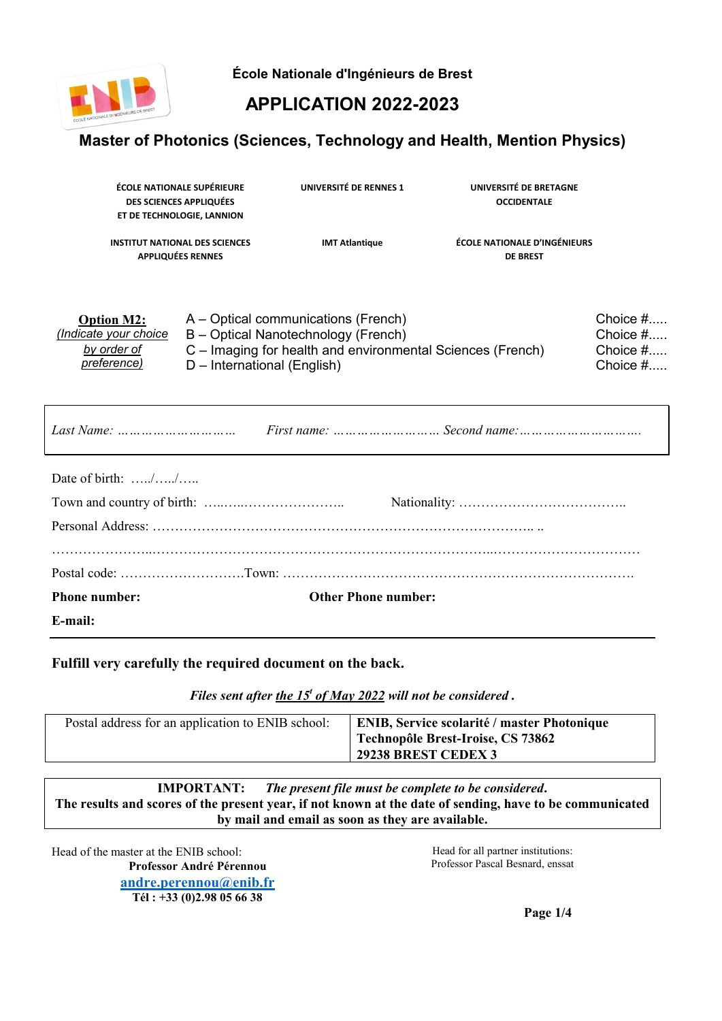

**École Nationale d'Ingénieurs de Brest**

# **APPLICATION 2022-2023**

## **Master of Photonics (Sciences, Technology and Health, Mention Physics)**

| ÉCOLE NATIONALE SUPÉRIEURE<br>DES SCIENCES APPLIQUÉES<br>ET DE TECHNOLOGIE, LANNION |                             | UNIVERSITÉ DE RENNES 1                                                                                                                   | UNIVERSITÉ DE BRETAGNE<br><b>OCCIDENTALE</b>    |                                                    |
|-------------------------------------------------------------------------------------|-----------------------------|------------------------------------------------------------------------------------------------------------------------------------------|-------------------------------------------------|----------------------------------------------------|
| <b>INSTITUT NATIONAL DES SCIENCES</b><br><b>APPLIQUÉES RENNES</b>                   |                             | <b>IMT Atlantique</b>                                                                                                                    | ÉCOLE NATIONALE D'INGÉNIEURS<br><b>DE BREST</b> |                                                    |
| <b>Option M2:</b><br>(Indicate your choice<br>by order of<br>preference)            | D - International (English) | A – Optical communications (French)<br>B - Optical Nanotechnology (French)<br>C – Imaging for health and environmental Sciences (French) |                                                 | Choice $#$<br>Choice $#$<br>Choice $#$<br>Choice # |
|                                                                                     |                             |                                                                                                                                          |                                                 |                                                    |
| Date of birth: $\dots \dots \dots \dots$                                            |                             |                                                                                                                                          |                                                 |                                                    |
|                                                                                     |                             |                                                                                                                                          |                                                 |                                                    |
|                                                                                     |                             |                                                                                                                                          |                                                 |                                                    |

| Phone number: | <b>Other Phone number:</b> |  |
|---------------|----------------------------|--|
|               |                            |  |
|               |                            |  |

**E-mail:**

**Fulfill very carefully the required document on the back.**

*Files sent after the 15<sup>t</sup> of May 2022 will not be considered .*

| Postal address for an application to ENIB school: | <b>ENIB, Service scolarité / master Photonique</b><br>Technopôle Brest-Iroise, CS 73862<br>29238 BREST CEDEX 3 |
|---------------------------------------------------|----------------------------------------------------------------------------------------------------------------|
|---------------------------------------------------|----------------------------------------------------------------------------------------------------------------|

**IMPORTANT:** *The present file must be complete to be considered***. The results and scores of the present year, if not known at the date of sending, have to be communicated by mail and email as soon as they are available.**

Head of the master at the ENIB school: **Professor André Pérennou [andre.perennou@enib.fr](mailto:andre.perennou@enib.fr) Tél : +33 (0)2.98 05 66 38** 

Head for all partner institutions: Professor Pascal Besnard, enssat

**Page 1/4**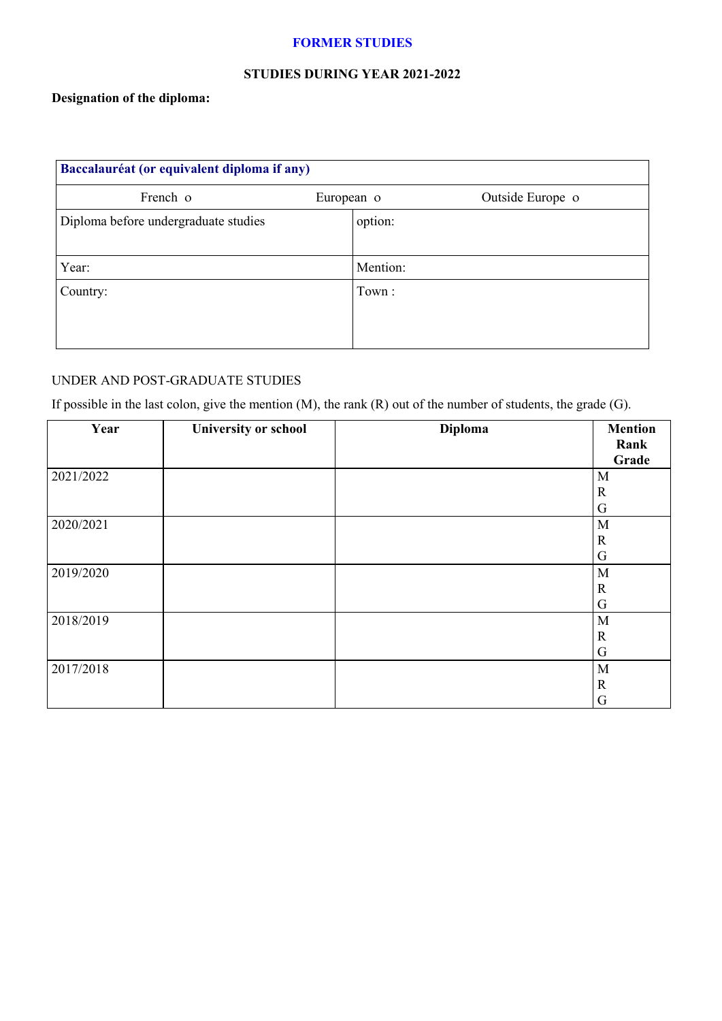#### **FORMER STUDIES**

#### **STUDIES DURING YEAR 2021-2022**

### **Designation of the diploma:**

| Baccalauréat (or equivalent diploma if any) |                  |  |  |
|---------------------------------------------|------------------|--|--|
| French o<br>European o                      | Outside Europe o |  |  |
| Diploma before undergraduate studies        | option:          |  |  |
| Year:                                       | Mention:         |  |  |
| Country:                                    | Town:            |  |  |

### UNDER AND POST-GRADUATE STUDIES

If possible in the last colon, give the mention (M), the rank (R) out of the number of students, the grade (G).

| Year      | <b>University or school</b> | Diploma | <b>Mention</b> |
|-----------|-----------------------------|---------|----------------|
|           |                             |         | Rank           |
|           |                             |         | Grade          |
| 2021/2022 |                             |         | M              |
|           |                             |         | $\mathbb{R}$   |
|           |                             |         | G              |
| 2020/2021 |                             |         | M              |
|           |                             |         | $\mathbf R$    |
|           |                             |         | G              |
| 2019/2020 |                             |         | M              |
|           |                             |         | $\mathbb{R}$   |
|           |                             |         | G              |
| 2018/2019 |                             |         | M              |
|           |                             |         | $\mathbf R$    |
|           |                             |         | $\mathbf G$    |
| 2017/2018 |                             |         | M              |
|           |                             |         | $\mathbf R$    |
|           |                             |         | G              |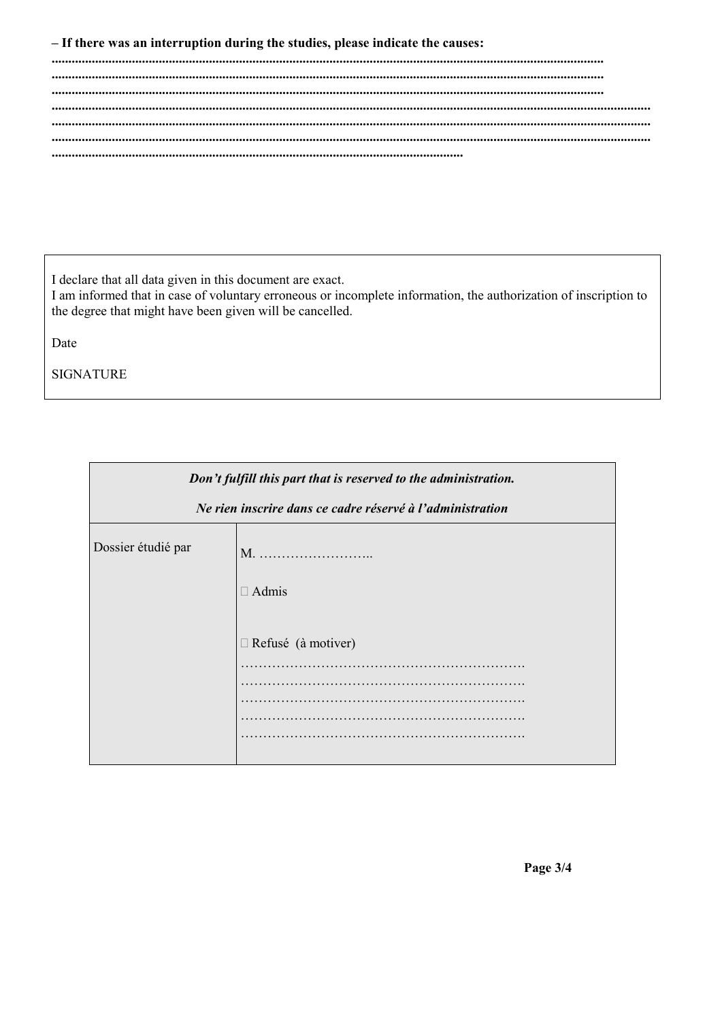### - If there was an interruption during the studies, please indicate the causes:

I declare that all data given in this document are exact.

I am informed that in case of voluntary erroneous or incomplete information, the authorization of inscription to the degree that might have been given will be cancelled.

Date

**SIGNATURE** 

| Don't fulfill this part that is reserved to the administration.<br>Ne rien inscrire dans ce cadre réservé à l'administration |                           |  |
|------------------------------------------------------------------------------------------------------------------------------|---------------------------|--|
|                                                                                                                              |                           |  |
|                                                                                                                              | $\Box$ Admis              |  |
|                                                                                                                              | $\Box$ Refusé (à motiver) |  |
|                                                                                                                              |                           |  |
|                                                                                                                              |                           |  |

Page 3/4